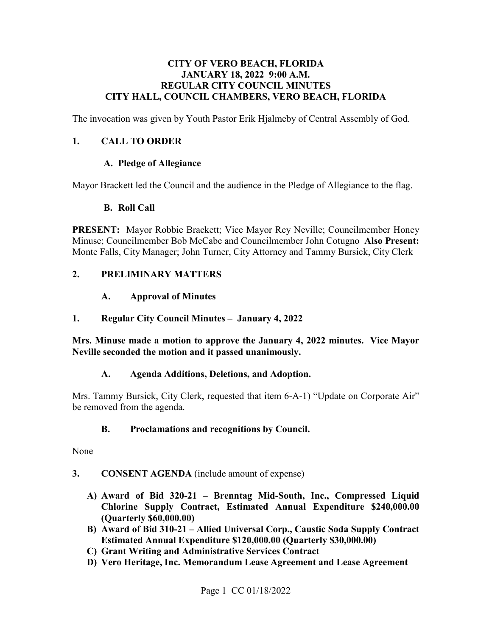### **CITY OF VERO BEACH, FLORIDA JANUARY 18, 2022 9:00 A.M. REGULAR CITY COUNCIL MINUTES CITY HALL, COUNCIL CHAMBERS, VERO BEACH, FLORIDA**

The invocation was given by Youth Pastor Erik Hjalmeby of Central Assembly of God.

# **1. CALL TO ORDER**

## **A. Pledge of Allegiance**

Mayor Brackett led the Council and the audience in the Pledge of Allegiance to the flag.

### **B. Roll Call**

 **PRESENT:** Mayor Robbie Brackett; Vice Mayor Rey Neville; Councilmember Honey Minuse; Councilmember Bob McCabe and Councilmember John Cotugno **Also Present:** Monte Falls, City Manager; John Turner, City Attorney and Tammy Bursick, City Clerk

# **2. PRELIMINARY MATTERS**

### $\mathbf{A}$ . **A. Approval of Minutes**

# **1. Regular City Council Minutes – January 4, 2022**

**Mrs. Minuse made a motion to approve the January 4, 2022 minutes. Vice Mayor Neville seconded the motion and it passed unanimously.** 

# **A. Agenda Additions, Deletions, and Adoption.**

 Mrs. Tammy Bursick, City Clerk, requested that item 6-A-1) "Update on Corporate Air" be removed from the agenda.

# **B. Proclamations and recognitions by Council.**

None

# **3. CONSENT AGENDA** (include amount of expense)

- **A) Award of Bid 320-21 Brenntag Mid-South, Inc., Compressed Liquid Chlorine Supply Contract, Estimated Annual Expenditure [\\$240,000.00](https://240,000.00) (Quarterly [\\$60,000.00](https://60,000.00))**
- **B) Award of Bid 310-21 Allied Universal Corp., Caustic Soda Supply Contract Estimated Annual Expenditure [\\$120,000.00](https://120,000.00) (Quarterly [\\$30,000.00](https://30,000.00))**
- **C) Grant Writing and Administrative Services Contract**
- **D) Vero Heritage, Inc. Memorandum Lease Agreement and Lease Agreement**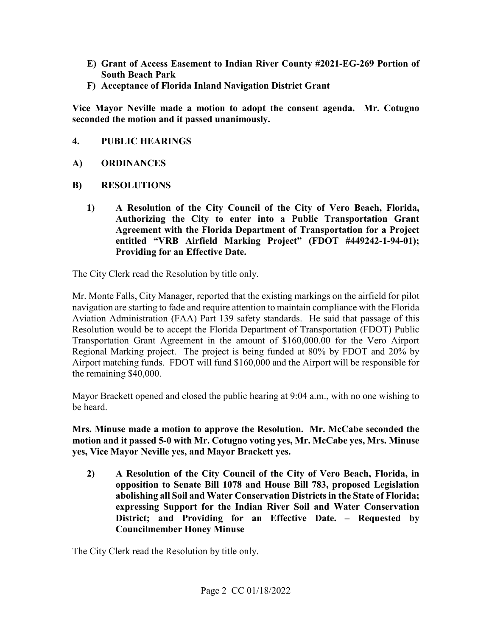- **E) Grant of Access Easement to Indian River County #2021-EG-269 Portion of South Beach Park**
- **F) Acceptance of Florida Inland Navigation District Grant**

**Vice Mayor Neville made a motion to adopt the consent agenda. Mr. Cotugno seconded the motion and it passed unanimously.** 

# **4. PUBLIC HEARINGS**

- **A) ORDINANCES**
- **B) RESOLUTIONS** 
	- **1) A Resolution of the City Council of the City of Vero Beach, Florida, Authorizing the City to enter into a Public Transportation Grant Agreement with the Florida Department of Transportation for a Project entitled "VRB Airfield Marking Project" (FDOT #449242-1-94-01); Providing for an Effective Date.**

The City Clerk read the Resolution by title only.

 navigation are starting to fade and require attention to maintain compliance with the Florida Airport matching funds. FDOT will fund \$160,000 and the Airport will be responsible for Mr. Monte Falls, City Manager, reported that the existing markings on the airfield for pilot Aviation Administration (FAA) Part 139 safety standards. He said that passage of this Resolution would be to accept the Florida Department of Transportation (FDOT) Public Transportation Grant Agreement in the amount of [\\$160,000.00](https://160,000.00) for the Vero Airport Regional Marking project. The project is being funded at 80% by FDOT and 20% by the remaining \$40,000.

Mayor Brackett opened and closed the public hearing at 9:04 a.m., with no one wishing to be heard.

**Mrs. Minuse made a motion to approve the Resolution. Mr. McCabe seconded the motion and it passed 5-0 with Mr. Cotugno voting yes, Mr. McCabe yes, Mrs. Minuse yes, Vice Mayor Neville yes, and Mayor Brackett yes.** 

 **opposition to Senate Bill 1078 and House Bill 783, proposed Legislation abolishing all Soil and Water Conservation Districts in the State of Florida; 2) A Resolution of the City Council of the City of Vero Beach, Florida, in expressing Support for the Indian River Soil and Water Conservation District; and Providing for an Effective Date. – Requested by Councilmember Honey Minuse** 

The City Clerk read the Resolution by title only.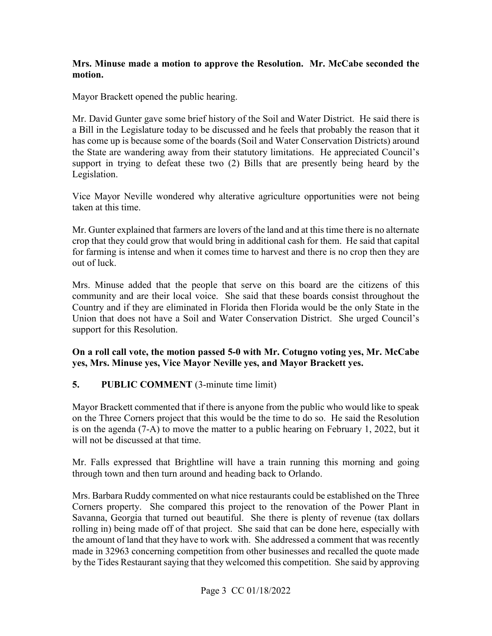### **Mrs. Minuse made a motion to approve the Resolution. Mr. McCabe seconded the motion.**

Mayor Brackett opened the public hearing.

 Mr. David Gunter gave some brief history of the Soil and Water District. He said there is the State are wandering away from their statutory limitations. He appreciated Council's Legislation. a Bill in the Legislature today to be discussed and he feels that probably the reason that it has come up is because some of the boards (Soil and Water Conservation Districts) around support in trying to defeat these two (2) Bills that are presently being heard by the

taken at this time. Vice Mayor Neville wondered why alterative agriculture opportunities were not being

Mr. Gunter explained that farmers are lovers of the land and at this time there is no alternate crop that they could grow that would bring in additional cash for them. He said that capital for farming is intense and when it comes time to harvest and there is no crop then they are out of luck.

Mrs. Minuse added that the people that serve on this board are the citizens of this community and are their local voice. She said that these boards consist throughout the Country and if they are eliminated in Florida then Florida would be the only State in the Union that does not have a Soil and Water Conservation District. She urged Council's support for this Resolution.

 **yes, Mrs. Minuse yes, Vice Mayor Neville yes, and Mayor Brackett yes. 5. PUBLIC COMMENT** (3-minute time limit) **On a roll call vote, the motion passed 5-0 with Mr. Cotugno voting yes, Mr. McCabe** 

Mayor Brackett commented that if there is anyone from the public who would like to speak on the Three Corners project that this would be the time to do so. He said the Resolution is on the agenda (7-A) to move the matter to a public hearing on February 1, 2022, but it will not be discussed at that time.

 Mr. Falls expressed that Brightline will have a train running this morning and going through town and then turn around and heading back to Orlando.

 Savanna, Georgia that turned out beautiful. She there is plenty of revenue (tax dollars by the Tides Restaurant saying that they welcomed this competition. She said by approving Mrs. Barbara Ruddy commented on what nice restaurants could be established on the Three Corners property. She compared this project to the renovation of the Power Plant in rolling in) being made off of that project. She said that can be done here, especially with the amount of land that they have to work with. She addressed a comment that was recently made in 32963 concerning competition from other businesses and recalled the quote made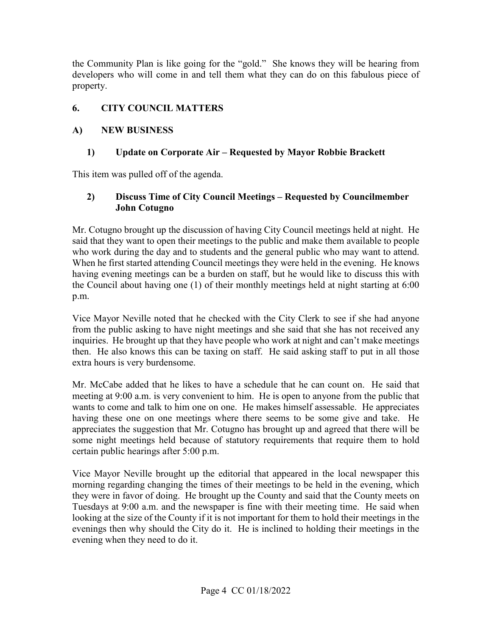the Community Plan is like going for the "gold." She knows they will be hearing from developers who will come in and tell them what they can do on this fabulous piece of property.

# **6. CITY COUNCIL MATTERS**

# **A) NEW BUSINESS**

# **1) Update on Corporate Air – Requested by Mayor Robbie Brackett**

This item was pulled off of the agenda.

# **John Cotugno 2) Discuss Time of City Council Meetings – Requested by Councilmember**

Mr. Cotugno brought up the discussion of having City Council meetings held at night. He said that they want to open their meetings to the public and make them available to people who work during the day and to students and the general public who may want to attend. When he first started attending Council meetings they were held in the evening. He knows having evening meetings can be a burden on staff, but he would like to discuss this with the Council about having one (1) of their monthly meetings held at night starting at 6:00 p.m.

 inquiries. He brought up that they have people who work at night and can't make meetings then. He also knows this can be taxing on staff. He said asking staff to put in all those Vice Mayor Neville noted that he checked with the City Clerk to see if she had anyone from the public asking to have night meetings and she said that she has not received any extra hours is very burdensome.

 wants to come and talk to him one on one. He makes himself assessable. He appreciates having these one on one meetings where there seems to be some give and take. He Mr. McCabe added that he likes to have a schedule that he can count on. He said that meeting at 9:00 a.m. is very convenient to him. He is open to anyone from the public that appreciates the suggestion that Mr. Cotugno has brought up and agreed that there will be some night meetings held because of statutory requirements that require them to hold certain public hearings after 5:00 p.m.

 Tuesdays at 9:00 a.m. and the newspaper is fine with their meeting time. He said when Vice Mayor Neville brought up the editorial that appeared in the local newspaper this morning regarding changing the times of their meetings to be held in the evening, which they were in favor of doing. He brought up the County and said that the County meets on looking at the size of the County if it is not important for them to hold their meetings in the evenings then why should the City do it. He is inclined to holding their meetings in the evening when they need to do it.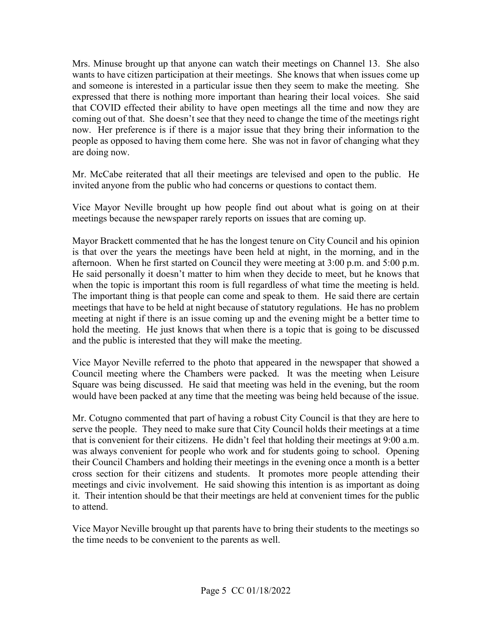that COVID effected their ability to have open meetings all the time and now they are now. Her preference is if there is a major issue that they bring their information to the Mrs. Minuse brought up that anyone can watch their meetings on Channel 13. She also wants to have citizen participation at their meetings. She knows that when issues come up and someone is interested in a particular issue then they seem to make the meeting. She expressed that there is nothing more important than hearing their local voices. She said coming out of that. She doesn't see that they need to change the time of the meetings right people as opposed to having them come here. She was not in favor of changing what they are doing now.

 Mr. McCabe reiterated that all their meetings are televised and open to the public. He invited anyone from the public who had concerns or questions to contact them.

 meetings because the newspaper rarely reports on issues that are coming up. Vice Mayor Neville brought up how people find out about what is going on at their

 is that over the years the meetings have been held at night, in the morning, and in the He said personally it doesn't matter to him when they decide to meet, but he knows that when the topic is important this room is full regardless of what time the meeting is held. and the public is interested that they will make the meeting. Mayor Brackett commented that he has the longest tenure on City Council and his opinion afternoon. When he first started on Council they were meeting at 3:00 p.m. and 5:00 p.m. The important thing is that people can come and speak to them. He said there are certain meetings that have to be held at night because of statutory regulations. He has no problem meeting at night if there is an issue coming up and the evening might be a better time to hold the meeting. He just knows that when there is a topic that is going to be discussed

 Vice Mayor Neville referred to the photo that appeared in the newspaper that showed a Council meeting where the Chambers were packed. It was the meeting when Leisure Square was being discussed. He said that meeting was held in the evening, but the room would have been packed at any time that the meeting was being held because of the issue.

 Mr. Cotugno commented that part of having a robust City Council is that they are here to meetings and civic involvement. He said showing this intention is as important as doing serve the people. They need to make sure that City Council holds their meetings at a time that is convenient for their citizens. He didn't feel that holding their meetings at 9:00 a.m. was always convenient for people who work and for students going to school. Opening their Council Chambers and holding their meetings in the evening once a month is a better cross section for their citizens and students. It promotes more people attending their it. Their intention should be that their meetings are held at convenient times for the public to attend.

 the time needs to be convenient to the parents as well. Vice Mayor Neville brought up that parents have to bring their students to the meetings so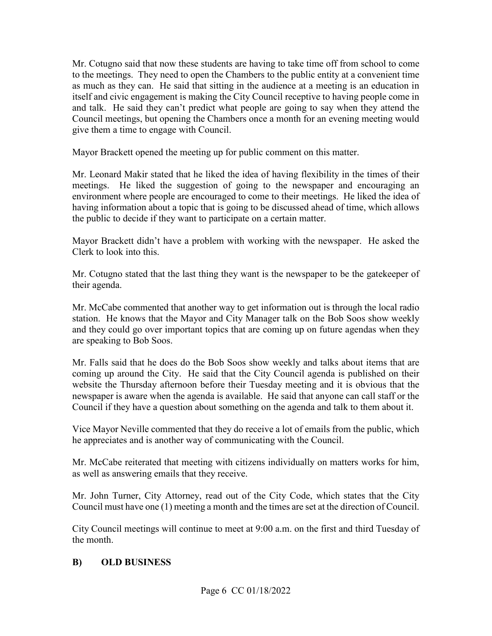to the meetings. They need to open the Chambers to the public entity at a convenient time as much as they can. He said that sitting in the audience at a meeting is an education in and talk. He said they can't predict what people are going to say when they attend the give them a time to engage with Council. Mr. Cotugno said that now these students are having to take time off from school to come itself and civic engagement is making the City Council receptive to having people come in Council meetings, but opening the Chambers once a month for an evening meeting would

Mayor Brackett opened the meeting up for public comment on this matter.

 Mr. Leonard Makir stated that he liked the idea of having flexibility in the times of their meetings. He liked the suggestion of going to the newspaper and encouraging an the public to decide if they want to participate on a certain matter. environment where people are encouraged to come to their meetings. He liked the idea of having information about a topic that is going to be discussed ahead of time, which allows

Mayor Brackett didn't have a problem with working with the newspaper. He asked the Clerk to look into this.

 their agenda. Mr. Cotugno stated that the last thing they want is the newspaper to be the gatekeeper of

 are speaking to Bob Soos. Mr. McCabe commented that another way to get information out is through the local radio station. He knows that the Mayor and City Manager talk on the Bob Soos show weekly and they could go over important topics that are coming up on future agendas when they

 newspaper is aware when the agenda is available. He said that anyone can call staff or the Council if they have a question about something on the agenda and talk to them about it. Mr. Falls said that he does do the Bob Soos show weekly and talks about items that are coming up around the City. He said that the City Council agenda is published on their website the Thursday afternoon before their Tuesday meeting and it is obvious that the

Vice Mayor Neville commented that they do receive a lot of emails from the public, which he appreciates and is another way of communicating with the Council.

as well as answering emails that they receive. Mr. McCabe reiterated that meeting with citizens individually on matters works for him,

Mr. John Turner, City Attorney, read out of the City Code, which states that the City Council must have one (1) meeting a month and the times are set at the direction of Council.

City Council meetings will continue to meet at 9:00 a.m. on the first and third Tuesday of the month.

# **B) OLD BUSINESS**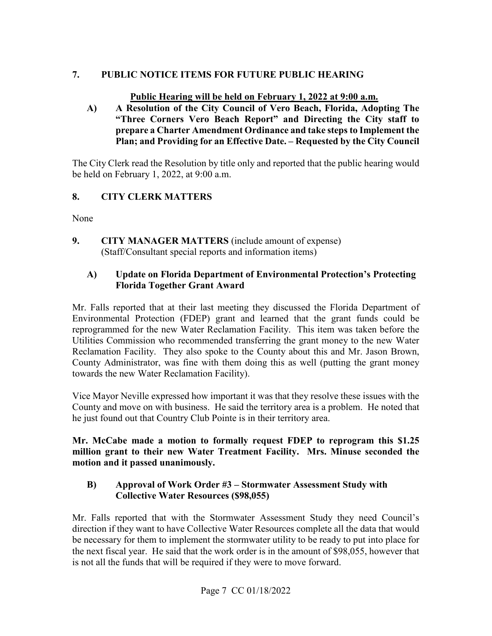# **PUBLIC NOTICE ITEMS FOR FUTURE PUBLIC HEARING 7. PUBLIC NOTICE ITEMS FOR FUTURE PUBLIC HEARING<br>Public Hearing will be held on February 1, 2022 at 9:00 a.m.**

 **"Three Corners Vero Beach Report" and Directing the City staff to prepare a Charter Amendment Ordinance and take steps to Implement the A) A Resolution of the City Council of Vero Beach, Florida, Adopting The Plan; and Providing for an Effective Date. – Requested by the City Council** 

 be held on February 1, 2022, at 9:00 a.m. The City Clerk read the Resolution by title only and reported that the public hearing would

# **8. CITY CLERK MATTERS**

None

 $\mathbf{9}$  (Staff/Consultant special reports and information items) **9. CITY MANAGER MATTERS** (include amount of expense)

# **A) Update on Florida Department of Environmental Protection's Protecting Florida Together Grant Award**

 Mr. Falls reported that at their last meeting they discussed the Florida Department of towards the new Water Reclamation Facility). Environmental Protection (FDEP) grant and learned that the grant funds could be reprogrammed for the new Water Reclamation Facility. This item was taken before the Utilities Commission who recommended transferring the grant money to the new Water Reclamation Facility. They also spoke to the County about this and Mr. Jason Brown, County Administrator, was fine with them doing this as well (putting the grant money

towards the new Water Reclamation Facility).<br>Vice Mayor Neville expressed how important it was that they resolve these issues with the he just found out that Country Club Pointe is in their territory area. County and move on with business. He said the territory area is a problem. He noted that

motion and it passed unanimously. **Mr. McCabe made a motion to formally request FDEP to reprogram this \$1.25 million grant to their new Water Treatment Facility. Mrs. Minuse seconded the** 

# **B)** Approval of Work Order #3 – Stormwater Assessment Study with **Collective Water Resources (\$98,055)**

 be necessary for them to implement the stormwater utility to be ready to put into place for Mr. Falls reported that with the Stormwater Assessment Study they need Council's direction if they want to have Collective Water Resources complete all the data that would the next fiscal year. He said that the work order is in the amount of \$98,055, however that is not all the funds that will be required if they were to move forward.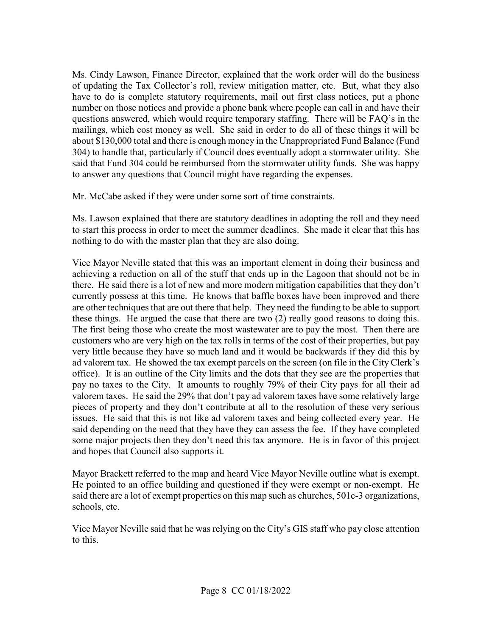have to do is complete statutory requirements, mail out first class notices, put a phone number on those notices and provide a phone bank where people can call in and have their questions answered, which would require temporary staffing. There will be FAQ's in the 304) to handle that, particularly if Council does eventually adopt a stormwater utility. She Ms. Cindy Lawson, Finance Director, explained that the work order will do the business of updating the Tax Collector's roll, review mitigation matter, etc. But, what they also mailings, which cost money as well. She said in order to do all of these things it will be about \$130,000 total and there is enough money in the Unappropriated Fund Balance (Fund said that Fund 304 could be reimbursed from the stormwater utility funds. She was happy to answer any questions that Council might have regarding the expenses.

Mr. McCabe asked if they were under some sort of time constraints.

 to start this process in order to meet the summer deadlines. She made it clear that this has nothing to do with the master plan that they are also doing. Ms. Lawson explained that there are statutory deadlines in adopting the roll and they need

 these things. He argued the case that there are two (2) really good reasons to doing this. The first being those who create the most wastewater are to pay the most. Then there are very little because they have so much land and it would be backwards if they did this by office). It is an outline of the City limits and the dots that they see are the properties that pay no taxes to the City. It amounts to roughly 79% of their City pays for all their ad valorem taxes. He said the 29% that don't pay ad valorem taxes have some relatively large issues. He said that this is not like ad valorem taxes and being collected every year. He said depending on the need that they have they can assess the fee. If they have completed Vice Mayor Neville stated that this was an important element in doing their business and achieving a reduction on all of the stuff that ends up in the Lagoon that should not be in there. He said there is a lot of new and more modern mitigation capabilities that they don't currently possess at this time. He knows that baffle boxes have been improved and there are other techniques that are out there that help. They need the funding to be able to support customers who are very high on the tax rolls in terms of the cost of their properties, but pay ad valorem tax. He showed the tax exempt parcels on the screen (on file in the City Clerk's pieces of property and they don't contribute at all to the resolution of these very serious some major projects then they don't need this tax anymore. He is in favor of this project and hopes that Council also supports it.

Mayor Brackett referred to the map and heard Vice Mayor Neville outline what is exempt. He pointed to an office building and questioned if they were exempt or non-exempt. He said there are a lot of exempt properties on this map such as churches, 501c-3 organizations, schools, etc.

Vice Mayor Neville said that he was relying on the City's GIS staff who pay close attention to this.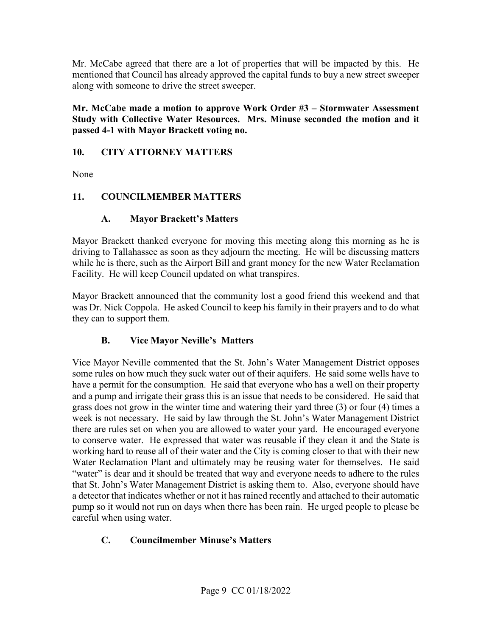Mr. McCabe agreed that there are a lot of properties that will be impacted by this. He mentioned that Council has already approved the capital funds to buy a new street sweeper along with someone to drive the street sweeper.

# **Mr. McCabe made a motion to approve Work Order #3 – Stormwater Assessment Study with Collective Water Resources. Mrs. Minuse seconded the motion and it passed 4-1 with Mayor Brackett voting no.**

# **10. CITY ATTORNEY MATTERS**

None

# **11. COUNCILMEMBER MATTERS**

# **A. Mayor Brackett's Matters**

 Mayor Brackett thanked everyone for moving this meeting along this morning as he is while he is there, such as the Airport Bill and grant money for the new Water Reclamation driving to Tallahassee as soon as they adjourn the meeting. He will be discussing matters Facility. He will keep Council updated on what transpires.

 they can to support them. Mayor Brackett announced that the community lost a good friend this weekend and that was Dr. Nick Coppola. He asked Council to keep his family in their prayers and to do what

# **B. Vice Mayor Neville's Matters**

 have a permit for the consumption. He said that everyone who has a well on their property there are rules set on when you are allowed to water your yard. He encouraged everyone working hard to reuse all of their water and the City is coming closer to that with their new Water Reclamation Plant and ultimately may be reusing water for themselves. He said Vice Mayor Neville commented that the St. John's Water Management District opposes some rules on how much they suck water out of their aquifers. He said some wells have to and a pump and irrigate their grass this is an issue that needs to be considered. He said that grass does not grow in the winter time and watering their yard three (3) or four (4) times a week is not necessary. He said by law through the St. John's Water Management District to conserve water. He expressed that water was reusable if they clean it and the State is "water" is dear and it should be treated that way and everyone needs to adhere to the rules that St. John's Water Management District is asking them to. Also, everyone should have a detector that indicates whether or not it has rained recently and attached to their automatic pump so it would not run on days when there has been rain. He urged people to please be careful when using water.

# **C. Councilmember Minuse's Matters**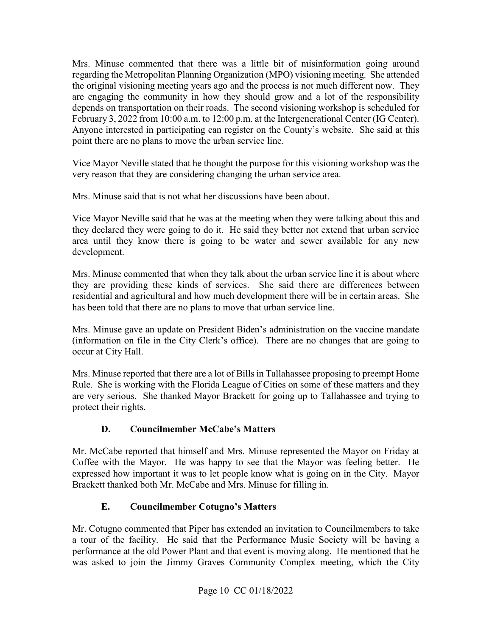Mrs. Minuse commented that there was a little bit of misinformation going around the original visioning meeting years ago and the process is not much different now. They February 3, 2022 from 10:00 a.m. to 12:00 p.m. at the Intergenerational Center (IG Center). regarding the Metropolitan Planning Organization (MPO) visioning meeting. She attended are engaging the community in how they should grow and a lot of the responsibility depends on transportation on their roads. The second visioning workshop is scheduled for Anyone interested in participating can register on the County's website. She said at this point there are no plans to move the urban service line.

Vice Mayor Neville stated that he thought the purpose for this visioning workshop was the very reason that they are considering changing the urban service area.

Mrs. Minuse said that is not what her discussions have been about.

 area until they know there is going to be water and sewer available for any new Vice Mayor Neville said that he was at the meeting when they were talking about this and they declared they were going to do it. He said they better not extend that urban service development.

 has been told that there are no plans to move that urban service line. Mrs. Minuse commented that when they talk about the urban service line it is about where they are providing these kinds of services. She said there are differences between residential and agricultural and how much development there will be in certain areas. She

occur at City Hall. Mrs. Minuse gave an update on President Biden's administration on the vaccine mandate (information on file in the City Clerk's office). There are no changes that are going to

occur at City Hall.<br>Mrs. Minuse reported that there are a lot of Bills in Tallahassee proposing to preempt Home Rule. She is working with the Florida League of Cities on some of these matters and they are very serious. She thanked Mayor Brackett for going up to Tallahassee and trying to protect their rights.

# **D. Councilmember McCabe's Matters**

Mr. McCabe reported that himself and Mrs. Minuse represented the Mayor on Friday at Coffee with the Mayor. He was happy to see that the Mayor was feeling better. He expressed how important it was to let people know what is going on in the City. Mayor Brackett thanked both Mr. McCabe and Mrs. Minuse for filling in.

# **E. Councilmember Cotugno's Matters**

 a tour of the facility. He said that the Performance Music Society will be having a Mr. Cotugno commented that Piper has extended an invitation to Councilmembers to take performance at the old Power Plant and that event is moving along. He mentioned that he was asked to join the Jimmy Graves Community Complex meeting, which the City